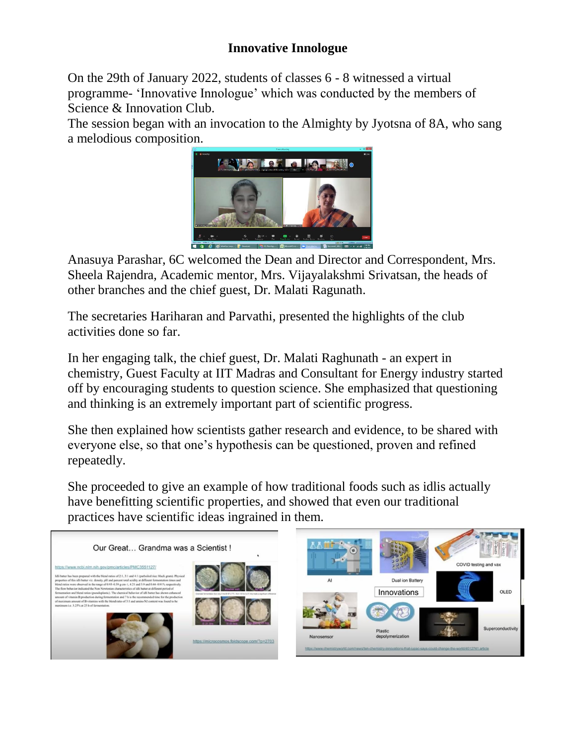## **Innovative Innologue**

On the 29th of January 2022, students of classes 6 - 8 witnessed a virtual programme- 'Innovative Innologue' which was conducted by the members of Science & Innovation Club.

The session began with an invocation to the Almighty by Jyotsna of 8A, who sang a melodious composition.



Anasuya Parashar, 6C welcomed the Dean and Director and Correspondent, Mrs. Sheela Rajendra, Academic mentor, Mrs. Vijayalakshmi Srivatsan, the heads of other branches and the chief guest, Dr. Malati Ragunath.

The secretaries Hariharan and Parvathi, presented the highlights of the club activities done so far.

In her engaging talk, the chief guest, Dr. Malati Raghunath - an expert in chemistry, Guest Faculty at IIT Madras and Consultant for Energy industry started off by encouraging students to question science. She emphasized that questioning and thinking is an extremely important part of scientific progress.

She then explained how scientists gather research and evidence, to be shared with everyone else, so that one's hypothesis can be questioned, proven and refined repeatedly.

She proceeded to give an example of how traditional foods such as idlis actually have benefitting scientific properties, and showed that even our traditional practices have scientific ideas ingrained in them.